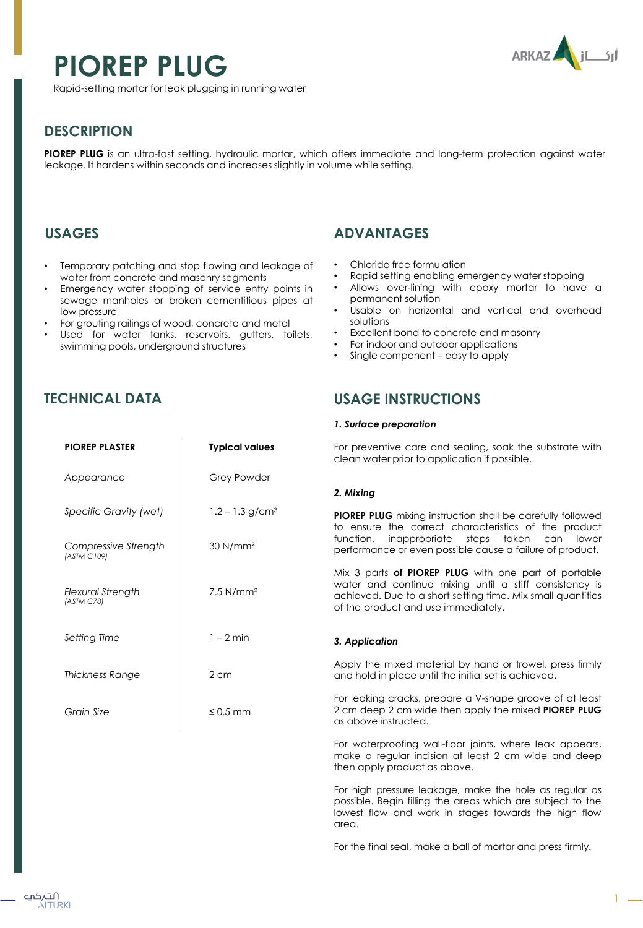# **PIOREP PLUG**



Rapid-setting mortar for leak plugging in running water

# **DESCRIPTION**

**PIOREP PLUG** is an ultra-fast setting, hydraulic mortar, which offers immediate and long-term protection against water leakage. It hardens within seconds and increases slightly in volume while setting.

## **USAGES**

- Temporary patching and stop flowing and leakage of water from concrete and masonry segments
- Emergency water stopping of service entry points in sewage manholes or broken cementitious pipes at low pressure
- For grouting railings of wood, concrete and metal

**PIOREP PLASTER Typical values**

Grey Powder

 $1.2 - 1.3$  g/cm<sup>3</sup>

30 N/mm²

7.5 N/mm²

1 – 2 min

≤ 0.5 mm

2 cm

Used for water tanks, reservoirs, gutters, toilets, swimming pools, underground structures

## **TECHNICAL DATA**

*Appearance*

*(ASTM C109)* 

*Specific Gravity (wet)*

*Compressive Strength* 

*Flexural Strength (ASTM C78)*

*Setting Time*

*Grain Size*

*Thickness Range*

## **ADVANTAGES**

- Chloride free formulation
- Rapid setting enabling emergency water stopping
- Allows over-lining with epoxy mortar to have a permanent solution
- Usable on horizontal and vertical and overhead solutions
- Excellent bond to concrete and masonry
- For indoor and outdoor applications
- Single component easy to apply

## **USAGE INSTRUCTIONS**

#### *1. Surface preparation*

For preventive care and sealing, soak the substrate with clean water prior to application if possible.

#### *2. Mixing*

**PIOREP PLUG** mixing instruction shall be carefully followed to ensure the correct characteristics of the product function, inappropriate steps taken can lower performance or even possible cause a failure of product.

Mix 3 parts **of PIOREP PLUG** with one part of portable water and continue mixing until a stiff consistency is achieved. Due to a short setting time. Mix small quantities of the product and use immediately.

#### *3. Application*

Apply the mixed material by hand or trowel, press firmly and hold in place until the initial set is achieved.

For leaking cracks, prepare a V-shape groove of at least 2 cm deep 2 cm wide then apply the mixed **PIOREP PLUG** as above instructed.

For waterproofing wall-floor joints, where leak appears, make a regular incision at least 2 cm wide and deep then apply product as above.

For high pressure leakage, make the hole as regular as possible. Begin filling the areas which are subject to the lowest flow and work in stages towards the high flow area.

For the final seal, make a ball of mortar and press firmly.